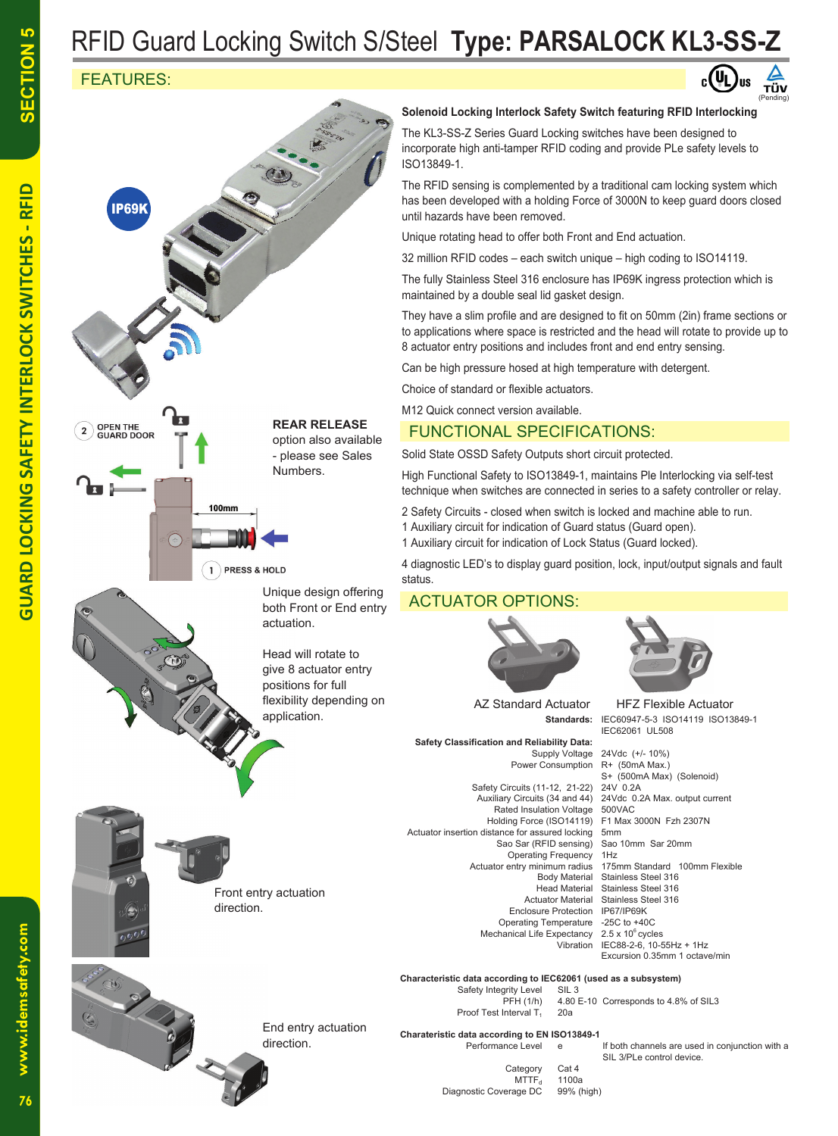# RFID Guard Locking Switch S/Steel **Type: PARSALOCK KL3-SS-Z**

## FEATURES:



#### **Solenoid Locking Interlock Safety Switch featuring RFID Interlocking**

(Pending)

TÜV

The KL3-SS-Z Series Guard Locking switches have been designed to incorporate high anti-tamper RFID coding and provide PLe safety levels to ISO13849-1.

The RFID sensing is complemented by a traditional cam locking system which has been developed with a holding Force of 3000N to keep guard doors closed until hazards have been removed.

Unique rotating head to offer both Front and End actuation.

32 million RFID codes – each switch unique – high coding to ISO14119.

The fully Stainless Steel 316 enclosure has IP69K ingress protection which is maintained by a double seal lid gasket design.

They have a slim profile and are designed to fit on 50mm (2in) frame sections or to applications where space is restricted and the head will rotate to provide up to 8 actuator entry positions and includes front and end entry sensing.

Can be high pressure hosed at high temperature with detergent.

Choice of standard or flexible actuators.

M12 Quick connect version available.

### FUNCTIONAL SPECIFICATIONS:

Solid State OSSD Safety Outputs short circuit protected.

High Functional Safety to ISO13849-1, maintains Ple Interlocking via self-test technique when switches are connected in series to a safety controller or relay.

2 Safety Circuits - closed when switch is locked and machine able to run.

- 1 Auxiliary circuit for indication of Guard status (Guard open).
- 1 Auxiliary circuit for indication of Lock Status (Guard locked).

4 diagnostic LED's to display guard position, lock, input/output signals and fault status.

### ACTUATOR OPTIONS:



AZ Standard Actuator

 **Safety Classification and Reliability Data:** Power Consumption

Safety Circuits (11-12, 21-22) Holding Force (ISO14119) Actuator insertion distance for assured locking 5mm<br>Sao Sar (RFID sensing) Sao 10mm Sar 20mm Sao Sar (RFID sensing) Sao<br>Operating Frequency 1Hz Actuator entry minimum radius<br>175mm Flody Material Enclosure Protection Operating Temperature -25C to +40C Mechanical Life Expectancy 2.5 x 10<sup>6</sup> cycles<br>Vibration IEC88-2-6. 10-5



**Standards:** IEC60947-5-3 ISO14119 ISO13849-1 IEC62061 UL508 HFZ Flexible Actuator

Supply Voltage 24Vdc (+/- 10%)<br>er Consumption R+ (50mA Max.) S+ (500mA Max) (Solenoid) Auxiliary Circuits (34 and 44) 24Vdc 0.2A Max. output current Rated Insulation Voltage 500VAC<br>lolding Force (ISO14119) F1 Max 3000N Fzh 2307N Operating Frequency 1Hz<br>entry minimum radius 175mm Standard 100mm Flexible Stainless Steel 316 Head Material Stainless Steel 316<br>Actuator Material Stainless Steel 316 Stainless Steel 316<br>IP67/IP69K IEC88-2-6, 10-55Hz + 1Hz Excursion 0.35mm 1 octave/min

**Characteristic data according to IEC62061 (used as a subsystem)**

Safety Integrity Level SIL 3 PFH (1/h) 4.80 E-10 Corresponds to 4.8% of SIL3 Proof Test Interval T<sub>1</sub> 20a

**Charateristic data according to EN ISO13849-1**

SIL 3/PLe control device.<br>Cat 4 Category Cat 4<br>MTTF<sub>d</sub> 1100a MTTFْ<sub>d</sub> 1100a<br>Diagnostic Coverage DC 99% (high)

Performance Level e If both channels are used in conjunction with a